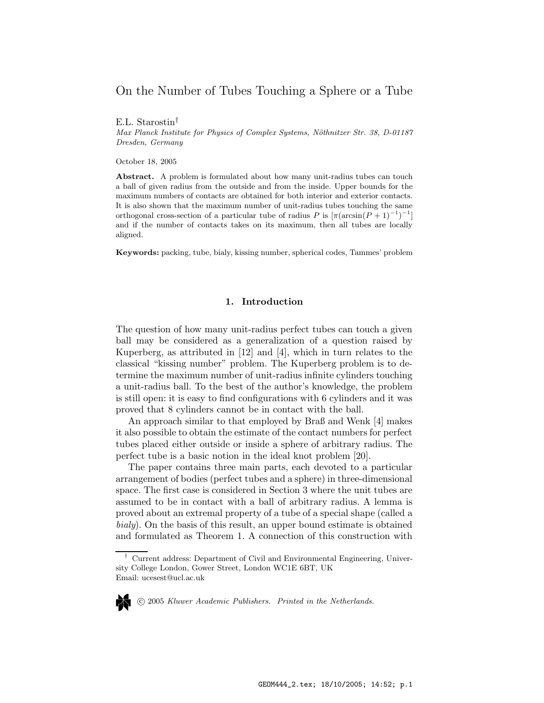# On the Number of Tubes Touching a Sphere or a Tube

E.L. Starostin†

Max Planck Institute for Physics of Complex Systems, Nöthnitzer Str. 38, D-01187 Dresden, Germany

October 18, 2005

Abstract. A problem is formulated about how many unit-radius tubes can touch a ball of given radius from the outside and from the inside. Upper bounds for the maximum numbers of contacts are obtained for both interior and exterior contacts. It is also shown that the maximum number of unit-radius tubes touching the same orthogonal cross-section of a particular tube of radius P is  $\left[\pi(\arcsin(P+1)^{-1})^{-1}\right]$ and if the number of contacts takes on its maximum, then all tubes are locally aligned.

Keywords: packing, tube, bialy, kissing number, spherical codes, Tammes' problem

# 1. Introduction

The question of how many unit-radius perfect tubes can touch a given ball may be considered as a generalization of a question raised by Kuperberg, as attributed in [12] and [4], which in turn relates to the classical "kissing number" problem. The Kuperberg problem is to determine the maximum number of unit-radius infinite cylinders touching a unit-radius ball. To the best of the author's knowledge, the problem is still open: it is easy to find configurations with 6 cylinders and it was proved that 8 cylinders cannot be in contact with the ball.

An approach similar to that employed by Braß and Wenk [4] makes it also possible to obtain the estimate of the contact numbers for perfect tubes placed either outside or inside a sphere of arbitrary radius. The perfect tube is a basic notion in the ideal knot problem [20].

The paper contains three main parts, each devoted to a particular arrangement of bodies (perfect tubes and a sphere) in three-dimensional space. The first case is considered in Section 3 where the unit tubes are assumed to be in contact with a ball of arbitrary radius. A lemma is proved about an extremal property of a tube of a special shape (called a bialy). On the basis of this result, an upper bound estimate is obtained and formulated as Theorem 1. A connection of this construction with

<sup>†</sup> Current address: Department of Civil and Environmental Engineering, University College London, Gower Street, London WC1E 6BT, UK Email: ucesest@ucl.ac.uk

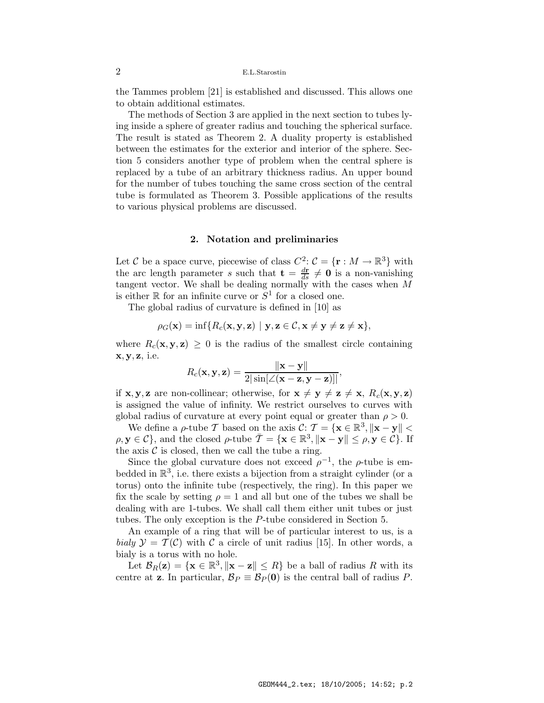the Tammes problem [21] is established and discussed. This allows one to obtain additional estimates.

The methods of Section 3 are applied in the next section to tubes lying inside a sphere of greater radius and touching the spherical surface. The result is stated as Theorem 2. A duality property is established between the estimates for the exterior and interior of the sphere. Section 5 considers another type of problem when the central sphere is replaced by a tube of an arbitrary thickness radius. An upper bound for the number of tubes touching the same cross section of the central tube is formulated as Theorem 3. Possible applications of the results to various physical problems are discussed.

# 2. Notation and preliminaries

Let C be a space curve, piecewise of class  $C^2$ :  $\mathcal{C} = {\mathbf{r} : M \to \mathbb{R}^3}$  with the arc length parameter s such that  $\mathbf{t} = \frac{d\mathbf{r}}{ds} \neq \mathbf{0}$  is a non-vanishing tangent vector. We shall be dealing normally with the cases when M is either  $\mathbb R$  for an infinite curve or  $S^1$  for a closed one.

The global radius of curvature is defined in [10] as

$$
\rho_G(\mathbf{x}) = \inf \{ R_c(\mathbf{x}, \mathbf{y}, \mathbf{z}) \mid \mathbf{y}, \mathbf{z} \in \mathcal{C}, \mathbf{x} \neq \mathbf{y} \neq \mathbf{z} \neq \mathbf{x} \},
$$

where  $R_c(\mathbf{x}, \mathbf{y}, \mathbf{z}) \geq 0$  is the radius of the smallest circle containing  $x, y, z$ , i.e.

$$
R_c(\mathbf{x}, \mathbf{y}, \mathbf{z}) = \frac{\|\mathbf{x} - \mathbf{y}\|}{2|\sin[\angle(\mathbf{x} - \mathbf{z}, \mathbf{y} - \mathbf{z})]|},
$$

if **x**, **y**, **z** are non-collinear; otherwise, for  $\mathbf{x} \neq \mathbf{y} \neq \mathbf{z} \neq \mathbf{x}$ ,  $R_c(\mathbf{x}, \mathbf{y}, \mathbf{z})$ is assigned the value of infinity. We restrict ourselves to curves with global radius of curvature at every point equal or greater than  $\rho > 0$ .

We define a  $\rho$ -tube T based on the axis  $\mathcal{C}: \mathcal{T} = {\mathbf{x} \in \mathbb{R}^3, ||\mathbf{x} - \mathbf{y}|| < \mathcal{C}}$  $\rho, \mathbf{y} \in \mathcal{C}$ , and the closed  $\rho$ -tube  $\overline{\mathcal{I}} = {\mathbf{x} \in \mathbb{R}^3, ||\mathbf{x} - \mathbf{y}|| \le \rho, \mathbf{y} \in \mathcal{C}}$ . If the axis  $\mathcal C$  is closed, then we call the tube a ring.

Since the global curvature does not exceed  $\rho^{-1}$ , the  $\rho$ -tube is embedded in  $\mathbb{R}^3$ , i.e. there exists a bijection from a straight cylinder (or a torus) onto the infinite tube (respectively, the ring). In this paper we fix the scale by setting  $\rho = 1$  and all but one of the tubes we shall be dealing with are 1-tubes. We shall call them either unit tubes or just tubes. The only exception is the P-tube considered in Section 5.

An example of a ring that will be of particular interest to us, is a bialy  $\mathcal{Y} = \mathcal{T}(\mathcal{C})$  with  $\mathcal{C}$  a circle of unit radius [15]. In other words, a bialy is a torus with no hole.

Let  $\mathcal{B}_R(\mathbf{z}) = {\mathbf{x} \in \mathbb{R}^3, ||\mathbf{x} - \mathbf{z}|| \leq R}$  be a ball of radius R with its centre at **z**. In particular,  $\mathcal{B}_P \equiv \mathcal{B}_P(\mathbf{0})$  is the central ball of radius P.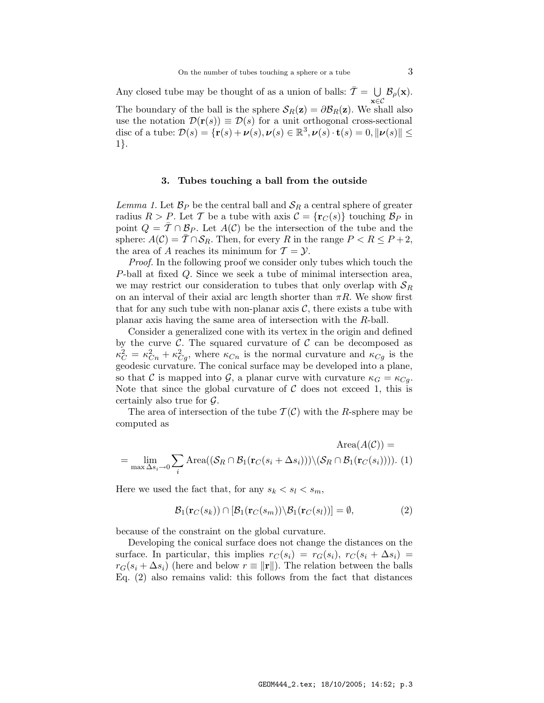Any closed tube may be thought of as a union of balls:  $\overline{T} = \bigcup_{\alpha \in \mathbb{R}}$  $\bigcup_{\mathbf{x}\in\mathcal{C}}\mathcal{B}_{\rho}(\mathbf{x}).$ The boundary of the ball is the sphere  $S_R(z) = \partial \mathcal{B}_R(z)$ . We shall also use the notation  $\mathcal{D}(\mathbf{r}(s)) \equiv \mathcal{D}(s)$  for a unit orthogonal cross-sectional disc of a tube:  $\mathcal{D}(s) = {\mathbf{r}(s) + \boldsymbol{\nu}(s), \boldsymbol{\nu}(s) \in \mathbb{R}^3, \boldsymbol{\nu}(s) \cdot \mathbf{t}(s) = 0, ||\boldsymbol{\nu}(s)|| \le$ 1}.

# 3. Tubes touching a ball from the outside

Lemma 1. Let  $\mathcal{B}_P$  be the central ball and  $\mathcal{S}_R$  a central sphere of greater radius  $R > P$ . Let T be a tube with axis  $C = {r<sub>C</sub>(s)}$  touching  $\mathcal{B}_P$  in point  $Q = \overline{T} \cap \mathcal{B}_P$ . Let  $A(\mathcal{C})$  be the intersection of the tube and the sphere:  $A(\mathcal{C}) = \overline{\mathcal{T}} \cap \mathcal{S}_R$ . Then, for every R in the range  $P < R \leq P + 2$ , the area of A reaches its minimum for  $\mathcal{T} = \mathcal{Y}$ .

Proof. In the following proof we consider only tubes which touch the P-ball at fixed Q. Since we seek a tube of minimal intersection area, we may restrict our consideration to tubes that only overlap with  $S_R$ on an interval of their axial arc length shorter than  $\pi R$ . We show first that for any such tube with non-planar axis  $\mathcal{C}$ , there exists a tube with planar axis having the same area of intersection with the R-ball.

Consider a generalized cone with its vertex in the origin and defined by the curve  $\mathcal{C}$ . The squared curvature of  $\mathcal{C}$  can be decomposed as  $\kappa_C^2 = \kappa_{C_n}^2 + \kappa_{C_g}^2$ , where  $\kappa_{C_n}$  is the normal curvature and  $\kappa_{C_g}$  is the geodesic curvature. The conical surface may be developed into a plane, so that C is mapped into G, a planar curve with curvature  $\kappa_G = \kappa_{Ca}$ . Note that since the global curvature of  $\mathcal C$  does not exceed 1, this is certainly also true for  $\mathcal{G}$ .

The area of intersection of the tube  $\mathcal{T}(\mathcal{C})$  with the R-sphere may be computed as

$$
\text{Area}(A(C)) = \lim_{\max \Delta s_i \to 0} \sum_i \text{Area}((\mathcal{S}_R \cap \mathcal{B}_1(\mathbf{r}_C(s_i + \Delta s_i))) \setminus (\mathcal{S}_R \cap \mathcal{B}_1(\mathbf{r}_C(s_i)))) \tag{1}
$$

Here we used the fact that, for any  $s_k < s_l < s_m$ ,

$$
\mathcal{B}_1(\mathbf{r}_C(s_k)) \cap [\mathcal{B}_1(\mathbf{r}_C(s_m)) \setminus \mathcal{B}_1(\mathbf{r}_C(s_l))] = \emptyset,
$$
\n(2)

because of the constraint on the global curvature.

Developing the conical surface does not change the distances on the surface. In particular, this implies  $r_{C}(s_i) = r_{G}(s_i), r_{C}(s_i + \Delta s_i) =$  $r_G(s_i + \Delta s_i)$  (here and below  $r \equiv ||\mathbf{r}||$ ). The relation between the balls Eq. (2) also remains valid: this follows from the fact that distances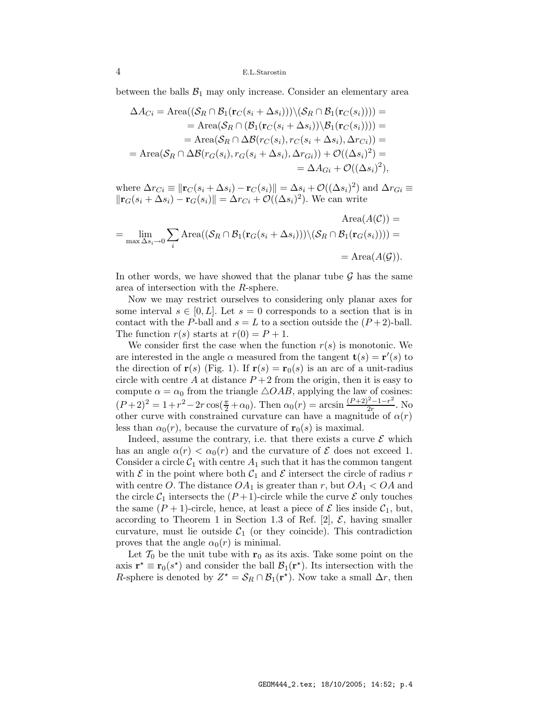between the balls  $\mathcal{B}_1$  may only increase. Consider an elementary area

$$
\Delta A_{Ci} = \text{Area}((\mathcal{S}_R \cap \mathcal{B}_1(\mathbf{r}_C(s_i + \Delta s_i))) \setminus (\mathcal{S}_R \cap \mathcal{B}_1(\mathbf{r}_C(s_i)))) =
$$
  
\n
$$
= \text{Area}(\mathcal{S}_R \cap (\mathcal{B}_1(\mathbf{r}_C(s_i + \Delta s_i)) \setminus \mathcal{B}_1(\mathbf{r}_C(s_i)))) =
$$
  
\n
$$
= \text{Area}(\mathcal{S}_R \cap \Delta \mathcal{B}(r_C(s_i), r_C(s_i + \Delta s_i), \Delta r_{Ci})) =
$$
  
\n
$$
= \text{Area}(\mathcal{S}_R \cap \Delta \mathcal{B}(r_G(s_i), r_G(s_i + \Delta s_i), \Delta r_{Gi})) + \mathcal{O}((\Delta s_i)^2) =
$$
  
\n
$$
= \Delta A_{Gi} + \mathcal{O}((\Delta s_i)^2),
$$

where  $\Delta r_{Ci} \equiv \|\mathbf{r}_C(s_i + \Delta s_i) - \mathbf{r}_C(s_i)\| = \Delta s_i + \mathcal{O}((\Delta s_i)^2)$  and  $\Delta r_{Ci} \equiv$  $\|\mathbf{r}_G(s_i + \Delta s_i) - \mathbf{r}_G(s_i)\| = \Delta r_{Ci} + \mathcal{O}((\Delta s_i)^2)$ . We can write

$$
\text{Area}(A(C)) = \lim_{\max \Delta s_i \to 0} \sum_{i} \text{Area}((\mathcal{S}_R \cap \mathcal{B}_1(\mathbf{r}_G(s_i + \Delta s_i))) \setminus (\mathcal{S}_R \cap \mathcal{B}_1(\mathbf{r}_G(s_i)))) =
$$

$$
= \text{Area}(A(G)).
$$

In other words, we have showed that the planar tube  $\mathcal G$  has the same area of intersection with the R-sphere.

Now we may restrict ourselves to considering only planar axes for some interval  $s \in [0, L]$ . Let  $s = 0$  corresponds to a section that is in contact with the P-ball and  $s = L$  to a section outside the  $(P + 2)$ -ball. The function  $r(s)$  starts at  $r(0) = P + 1$ .

We consider first the case when the function  $r(s)$  is monotonic. We are interested in the angle  $\alpha$  measured from the tangent  $\mathbf{t}(s) = \mathbf{r}'(s)$  to the direction of  $r(s)$  (Fig. 1). If  $r(s) = r_0(s)$  is an arc of a unit-radius circle with centre A at distance  $P+2$  from the origin, then it is easy to compute  $\alpha = \alpha_0$  from the triangle  $\triangle OAB$ , applying the law of cosines:  $(P+2)^2 = 1+r^2-2r\cos(\frac{\pi}{2}+\alpha_0)$ . Then  $\alpha_0(r) = \arcsin\frac{(P+2)^2-1-r^2}{2r}$  $\frac{r-1-r}{2r}$ . No other curve with constrained curvature can have a magnitude of  $\alpha(r)$ less than  $\alpha_0(r)$ , because the curvature of  $\mathbf{r}_0(s)$  is maximal.

Indeed, assume the contrary, i.e. that there exists a curve  $\mathcal E$  which has an angle  $\alpha(r) < \alpha_0(r)$  and the curvature of  $\mathcal E$  does not exceed 1. Consider a circle  $C_1$  with centre  $A_1$  such that it has the common tangent with  $\mathcal E$  in the point where both  $\mathcal C_1$  and  $\mathcal E$  intersect the circle of radius r with centre O. The distance  $OA_1$  is greater than r, but  $OA_1 < OA$  and the circle  $C_1$  intersects the  $(P+1)$ -circle while the curve  $\mathcal E$  only touches the same  $(P + 1)$ -circle, hence, at least a piece of  $\mathcal E$  lies inside  $\mathcal C_1$ , but, according to Theorem 1 in Section 1.3 of Ref. [2],  $\mathcal{E}$ , having smaller curvature, must lie outside  $C_1$  (or they coincide). This contradiction proves that the angle  $\alpha_0(r)$  is minimal.

Let  $\mathcal{T}_0$  be the unit tube with  $\mathbf{r}_0$  as its axis. Take some point on the axis  $\mathbf{r}^* \equiv \mathbf{r}_0(s^*)$  and consider the ball  $\mathcal{B}_1(\mathbf{r}^*)$ . Its intersection with the R-sphere is denoted by  $Z^* = \mathcal{S}_R \cap \mathcal{B}_1(\mathbf{r}^*)$ . Now take a small  $\Delta r$ , then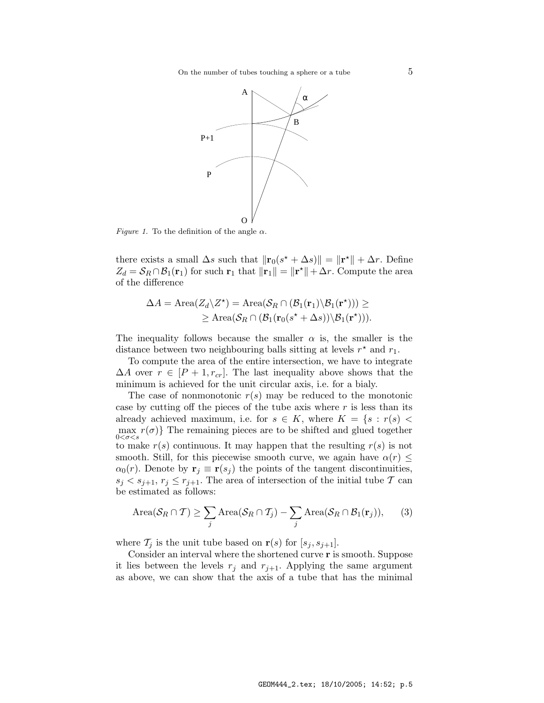

*Figure 1.* To the definition of the angle  $\alpha$ .

there exists a small  $\Delta s$  such that  $\|\mathbf{r}_0(s^* + \Delta s)\| = \|\mathbf{r}^*\| + \Delta r$ . Define  $Z_d = \mathcal{S}_R \cap \mathcal{B}_1(\mathbf{r}_1)$  for such  $\mathbf{r}_1$  that  $\|\mathbf{r}_1\| = \|\mathbf{r}^*\| + \Delta r$ . Compute the area of the difference

$$
\Delta A = \text{Area}(Z_d \backslash Z^*) = \text{Area}(\mathcal{S}_R \cap (\mathcal{B}_1(\mathbf{r}_1) \backslash \mathcal{B}_1(\mathbf{r}^*)) ) \ge \geq \text{Area}(\mathcal{S}_R \cap (\mathcal{B}_1(\mathbf{r}_0(s^* + \Delta s)) \backslash \mathcal{B}_1(\mathbf{r}^*) ) ).
$$

The inequality follows because the smaller  $\alpha$  is, the smaller is the distance between two neighbouring balls sitting at levels  $r^*$  and  $r_1$ .

To compute the area of the entire intersection, we have to integrate  $\Delta A$  over  $r \in [P+1, r_{cr}]$ . The last inequality above shows that the minimum is achieved for the unit circular axis, i.e. for a bialy.

The case of nonmonotonic  $r(s)$  may be reduced to the monotonic case by cutting off the pieces of the tube axis where  $r$  is less than its already achieved maximum, i.e. for  $s \in K$ , where  $K = \{s : r(s)$  $\max_{0 \leq \sigma \leq s} r(\sigma)$  The remaining pieces are to be shifted and glued together  $0<\sigma < s$ to make  $r(s)$  continuous. It may happen that the resulting  $r(s)$  is not smooth. Still, for this piecewise smooth curve, we again have  $\alpha(r) \leq$  $\alpha_0(r)$ . Denote by  $\mathbf{r}_j \equiv \mathbf{r}(s_j)$  the points of the tangent discontinuities,  $s_j < s_{j+1}, r_j \leq r_{j+1}.$  The area of intersection of the initial tube T can be estimated as follows:

$$
\text{Area}(\mathcal{S}_R \cap \mathcal{T}) \ge \sum_j \text{Area}(\mathcal{S}_R \cap \mathcal{T}_j) - \sum_j \text{Area}(\mathcal{S}_R \cap \mathcal{B}_1(\mathbf{r}_j)),\qquad(3)
$$

where  $\mathcal{T}_j$  is the unit tube based on  $\mathbf{r}(s)$  for  $[s_j, s_{j+1}].$ 

Consider an interval where the shortened curve r is smooth. Suppose it lies between the levels  $r_j$  and  $r_{j+1}$ . Applying the same argument as above, we can show that the axis of a tube that has the minimal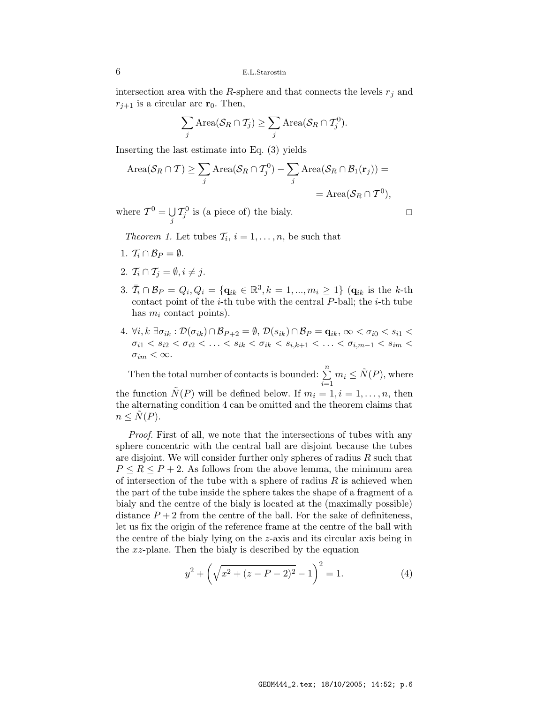intersection area with the R-sphere and that connects the levels  $r_j$  and  $r_{j+1}$  is a circular arc  $r_0$ . Then,

$$
\sum_j \text{Area}(\mathcal{S}_R \cap \mathcal{T}_j) \geq \sum_j \text{Area}(\mathcal{S}_R \cap \mathcal{T}_j^0).
$$

Inserting the last estimate into Eq. (3) yields

$$
\text{Area}(\mathcal{S}_R \cap \mathcal{T}) \ge \sum_j \text{Area}(\mathcal{S}_R \cap \mathcal{T}_j^0) - \sum_j \text{Area}(\mathcal{S}_R \cap \mathcal{B}_1(\mathbf{r}_j)) =
$$
  
= Area( $\mathcal{S}_R \cap \mathcal{T}^0$ ),

where  $\mathcal{T}^0 = \bigcup$  $\bigcup_j T_j^0$  is (a piece of) the bialy.

Theorem 1. Let tubes  $\mathcal{T}_i$ ,  $i = 1, \ldots, n$ , be such that

- 1.  $\mathcal{T}_i \cap \mathcal{B}_P = \emptyset$ .
- 2.  $T_i \cap T_j = \emptyset, i \neq j$ .
- 3.  $\bar{T}_i \cap \mathcal{B}_P = Q_i, Q_i = \{ \mathbf{q}_{ik} \in \mathbb{R}^3, k = 1, ..., m_i \ge 1 \}$  ( $\mathbf{q}_{ik}$  is the k-th contact point of the  $i$ -th tube with the central  $P$ -ball; the  $i$ -th tube has  $m_i$  contact points).
- 4.  $\forall i, k \exists \sigma_{ik} : \mathcal{D}(\sigma_{ik}) \cap \mathcal{B}_{P+2} = \emptyset$ ,  $\mathcal{D}(s_{ik}) \cap \mathcal{B}_P = \mathbf{q}_{ik}, \infty < \sigma_{i0} < s_{i1} <$  $\sigma_{i1} < s_{i2} < \sigma_{i2} < \ldots < s_{ik} < \sigma_{ik} < s_{i,k+1} < \ldots < \sigma_{i,m-1} < s_{im} <$  $\sigma_{im} < \infty$ .

Then the total number of contacts is bounded:  $\sum_{n=1}^{n}$  $\sum_{i=1}^{n} m_i \leq \tilde{N}(P)$ , where the function  $\tilde{N}(P)$  will be defined below. If  $m_i = 1, i = 1, \ldots, n$ , then the alternating condition 4 can be omitted and the theorem claims that  $n \leq N(P)$ .

Proof. First of all, we note that the intersections of tubes with any sphere concentric with the central ball are disjoint because the tubes are disjoint. We will consider further only spheres of radius  $R$  such that  $P \leq R \leq P+2$ . As follows from the above lemma, the minimum area of intersection of the tube with a sphere of radius  $R$  is achieved when the part of the tube inside the sphere takes the shape of a fragment of a bialy and the centre of the bialy is located at the (maximally possible) distance  $P + 2$  from the centre of the ball. For the sake of definiteness, let us fix the origin of the reference frame at the centre of the ball with the centre of the bialy lying on the z-axis and its circular axis being in the xz-plane. Then the bialy is described by the equation

$$
y^{2} + \left(\sqrt{x^{2} + (z - P - 2)^{2}} - 1\right)^{2} = 1.
$$
 (4)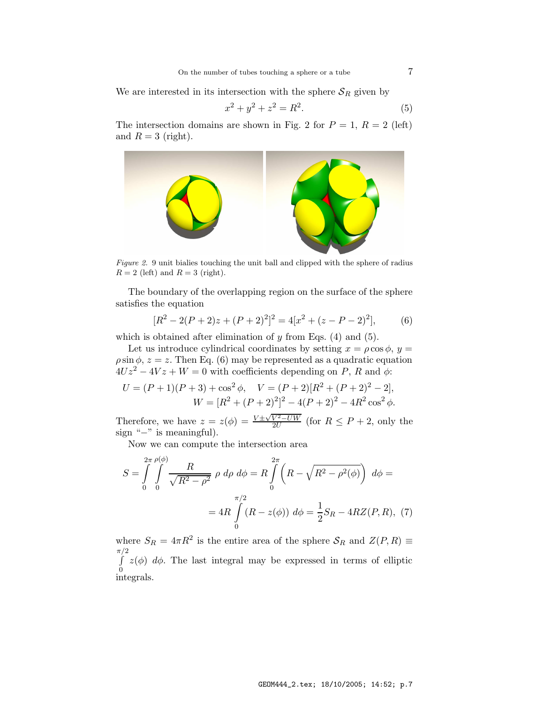We are interested in its intersection with the sphere  $S_R$  given by

$$
x^2 + y^2 + z^2 = R^2.
$$
 (5)

The intersection domains are shown in Fig. 2 for  $P = 1$ ,  $R = 2$  (left) and  $R = 3$  (right).



Figure 2. 9 unit bialies touching the unit ball and clipped with the sphere of radius  $R = 2$  (left) and  $R = 3$  (right).

The boundary of the overlapping region on the surface of the sphere satisfies the equation

$$
[R2 - 2(P + 2)z + (P + 2)2]2 = 4[x2 + (z - P - 2)2],
$$
 (6)

which is obtained after elimination of  $y$  from Eqs. (4) and (5).

Let us introduce cylindrical coordinates by setting  $x = \rho \cos \phi$ ,  $y =$  $\rho \sin \phi$ ,  $z = z$ . Then Eq. (6) may be represented as a quadratic equation  $4Uz^2 - 4Vz + W = 0$  with coefficients depending on P, R and  $\phi$ :

$$
U = (P+1)(P+3) + \cos^2 \phi, \quad V = (P+2)[R^2 + (P+2)^2 - 2],
$$
  

$$
W = [R^2 + (P+2)^2]^2 - 4(P+2)^2 - 4R^2 \cos^2 \phi.
$$

Therefore, we have  $z = z(\phi) = \frac{V \pm \sqrt{V^2 - UW}}{2U}$  (for  $R \le P + 2$ , only the sign "−" is meaningful).

Now we can compute the intersection area

$$
S = \int_{0}^{2\pi} \int_{0}^{\phi(\phi)} \frac{R}{\sqrt{R^2 - \rho^2}} \rho \, d\rho \, d\phi = R \int_{0}^{2\pi} \left( R - \sqrt{R^2 - \rho^2(\phi)} \right) \, d\phi =
$$

$$
= 4R \int_{0}^{\pi/2} (R - z(\phi)) \, d\phi = \frac{1}{2} S_R - 4RZ(P, R), \tag{7}
$$

where  $S_R = 4\pi R^2$  is the entire area of the sphere  $S_R$  and  $Z(P, R) \equiv$  $\pi/2$ R  $\boldsymbol{0}$  $z(\phi)$  d $\phi$ . The last integral may be expressed in terms of elliptic integrals.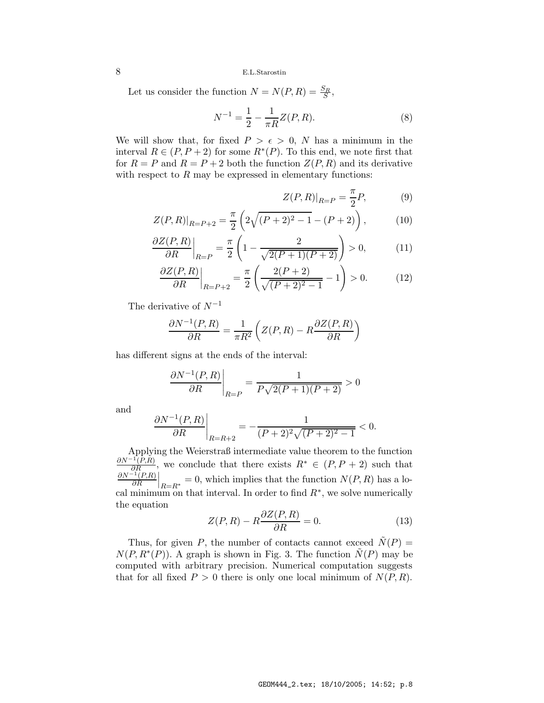Let us consider the function  $N = N(P, R) = \frac{S_R}{S}$ ,

$$
N^{-1} = \frac{1}{2} - \frac{1}{\pi R} Z(P, R). \tag{8}
$$

We will show that, for fixed  $P > \epsilon > 0$ , N has a minimum in the interval  $R \in (P, P + 2)$  for some  $R^*(P)$ . To this end, we note first that for  $R = P$  and  $R = P + 2$  both the function  $Z(P, R)$  and its derivative with respect to  $R$  may be expressed in elementary functions:

$$
Z(P,R)|_{R=P} = \frac{\pi}{2}P,\tag{9}
$$

$$
Z(P,R)|_{R=P+2} = \frac{\pi}{2} \left( 2\sqrt{(P+2)^2 - 1} - (P+2) \right), \tag{10}
$$

$$
\frac{\partial Z(P,R)}{\partial R}\Big|_{R=P} = \frac{\pi}{2} \left( 1 - \frac{2}{\sqrt{2(P+1)(P+2)}} \right) > 0, \tag{11}
$$

$$
\frac{\partial Z(P,R)}{\partial R}\bigg|_{R=P+2} = \frac{\pi}{2} \left( \frac{2(P+2)}{\sqrt{(P+2)^2 - 1}} - 1 \right) > 0. \tag{12}
$$

The derivative of  $N^{-1}$ 

$$
\frac{\partial N^{-1}(P,R)}{\partial R} = \frac{1}{\pi R^2} \left( Z(P,R) - R \frac{\partial Z(P,R)}{\partial R} \right)
$$

has different signs at the ends of the interval:

$$
\left. \frac{\partial N^{-1}(P,R)}{\partial R} \right|_{R=P} = \frac{1}{P\sqrt{2(P+1)(P+2)}} > 0
$$

and

$$
\left. \frac{\partial N^{-1}(P,R)}{\partial R} \right|_{R=R+2} = -\frac{1}{(P+2)^2 \sqrt{(P+2)^2 - 1}} < 0.
$$

Applying the Weierstraß intermediate value theorem to the function  $\frac{\partial N^{-1}(P,R)}{\partial R}$ , we conclude that there exists  $R^* \in (P, P + 2)$  such that  $\frac{\partial R}{\partial N^{-1}(P,R)}$  $\left.\frac{d^{1}(P,R)}{\partial R}\right|_{R=R^*}=0$ , which implies that the function  $N(P,R)$  has a local minimum on that interval. In order to find  $R^*$ , we solve numerically the equation

$$
Z(P,R) - R\frac{\partial Z(P,R)}{\partial R} = 0.
$$
\n(13)

Thus, for given P, the number of contacts cannot exceed  $\tilde{N}(P)$  =  $N(P, R^*(P))$ . A graph is shown in Fig. 3. The function  $\tilde{N}(P)$  may be computed with arbitrary precision. Numerical computation suggests that for all fixed  $P > 0$  there is only one local minimum of  $N(P, R)$ .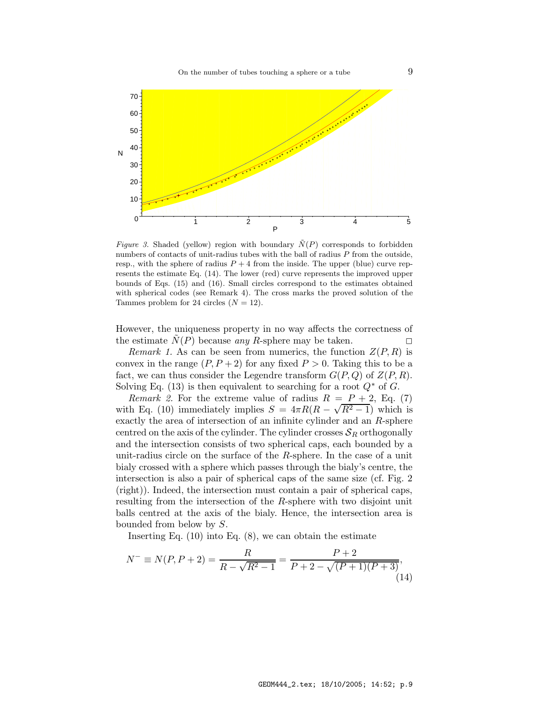

Figure 3. Shaded (yellow) region with boundary  $\tilde{N}(P)$  corresponds to forbidden numbers of contacts of unit-radius tubes with the ball of radius  $P$  from the outside, resp., with the sphere of radius  $P + 4$  from the inside. The upper (blue) curve represents the estimate Eq. (14). The lower (red) curve represents the improved upper bounds of Eqs. (15) and (16). Small circles correspond to the estimates obtained with spherical codes (see Remark 4). The cross marks the proved solution of the Tammes problem for 24 circles  $(N = 12)$ .

However, the uniqueness property in no way affects the correctness of the estimate  $N(P)$  because any R-sphere may be taken.

Remark 1. As can be seen from numerics, the function  $Z(P, R)$  is convex in the range  $(P, P + 2)$  for any fixed  $P > 0$ . Taking this to be a fact, we can thus consider the Legendre transform  $G(P,Q)$  of  $Z(P,R)$ . Solving Eq. (13) is then equivalent to searching for a root  $Q^*$  of G.

*Remark 2.* For the extreme value of radius  $R = P + 2$ , Eq. (7) with Eq. (10) immediately implies  $S = 4\pi R(R - \sqrt{R^2 - 1})$  which is exactly the area of intersection of an infinite cylinder and an R-sphere centred on the axis of the cylinder. The cylinder crosses  $S_R$  orthogonally and the intersection consists of two spherical caps, each bounded by a unit-radius circle on the surface of the R-sphere. In the case of a unit bialy crossed with a sphere which passes through the bialy's centre, the intersection is also a pair of spherical caps of the same size (cf. Fig. 2 (right)). Indeed, the intersection must contain a pair of spherical caps, resulting from the intersection of the R-sphere with two disjoint unit balls centred at the axis of the bialy. Hence, the intersection area is bounded from below by S.

Inserting Eq.  $(10)$  into Eq.  $(8)$ , we can obtain the estimate

$$
N^{-} \equiv N(P, P + 2) = \frac{R}{R - \sqrt{R^2 - 1}} = \frac{P + 2}{P + 2 - \sqrt{(P + 1)(P + 3)}},\tag{14}
$$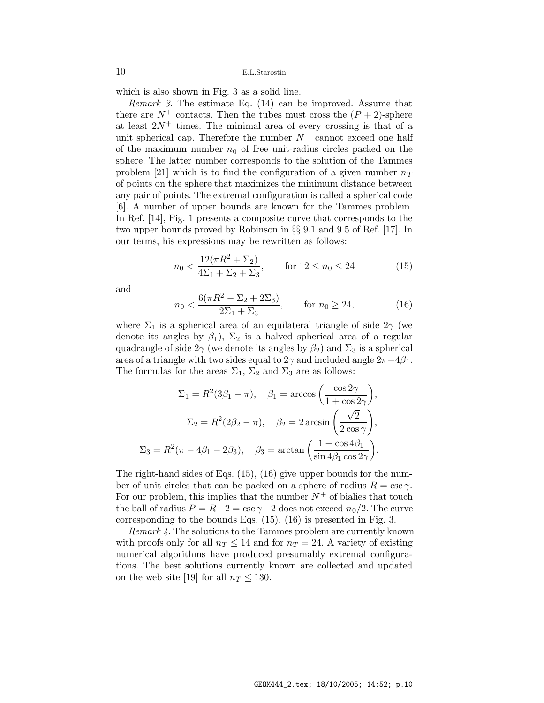which is also shown in Fig. 3 as a solid line.

Remark 3. The estimate Eq. (14) can be improved. Assume that there are  $N^+$  contacts. Then the tubes must cross the  $(P+2)$ -sphere at least  $2N^+$  times. The minimal area of every crossing is that of a unit spherical cap. Therefore the number  $N^+$  cannot exceed one half of the maximum number  $n_0$  of free unit-radius circles packed on the sphere. The latter number corresponds to the solution of the Tammes problem [21] which is to find the configuration of a given number  $n<sub>T</sub>$ of points on the sphere that maximizes the minimum distance between any pair of points. The extremal configuration is called a spherical code [6]. A number of upper bounds are known for the Tammes problem. In Ref. [14], Fig. 1 presents a composite curve that corresponds to the two upper bounds proved by Robinson in §§ 9.1 and 9.5 of Ref. [17]. In our terms, his expressions may be rewritten as follows:

$$
n_0 < \frac{12(\pi R^2 + \Sigma_2)}{4\Sigma_1 + \Sigma_2 + \Sigma_3}, \qquad \text{for } 12 \le n_0 \le 24 \tag{15}
$$

and

$$
n_0 < \frac{6(\pi R^2 - \Sigma_2 + 2\Sigma_3)}{2\Sigma_1 + \Sigma_3}, \qquad \text{for } n_0 \ge 24,\tag{16}
$$

where  $\Sigma_1$  is a spherical area of an equilateral triangle of side  $2\gamma$  (we denote its angles by  $\beta_1$ ),  $\Sigma_2$  is a halved spherical area of a regular quadrangle of side  $2\gamma$  (we denote its angles by  $\beta_2$ ) and  $\Sigma_3$  is a spherical area of a triangle with two sides equal to 2 $\gamma$  and included angle  $2\pi-4\beta_1$ . The formulas for the areas  $\Sigma_1$ ,  $\Sigma_2$  and  $\Sigma_3$  are as follows:

$$
\Sigma_1 = R^2(3\beta_1 - \pi), \quad \beta_1 = \arccos\left(\frac{\cos 2\gamma}{1 + \cos 2\gamma}\right),
$$

$$
\Sigma_2 = R^2(2\beta_2 - \pi), \quad \beta_2 = 2 \arcsin\left(\frac{\sqrt{2}}{2\cos\gamma}\right),
$$

$$
\Sigma_3 = R^2(\pi - 4\beta_1 - 2\beta_3), \quad \beta_3 = \arctan\left(\frac{1 + \cos 4\beta_1}{\sin 4\beta_1 \cos 2\gamma}\right).
$$

The right-hand sides of Eqs. (15), (16) give upper bounds for the number of unit circles that can be packed on a sphere of radius  $R = \csc \gamma$ . For our problem, this implies that the number  $N^+$  of bialies that touch the ball of radius  $P = R-2 = \csc \gamma - 2$  does not exceed  $n_0/2$ . The curve corresponding to the bounds Eqs. (15), (16) is presented in Fig. 3.

Remark 4. The solutions to the Tammes problem are currently known with proofs only for all  $n_T \leq 14$  and for  $n_T = 24$ . A variety of existing numerical algorithms have produced presumably extremal configurations. The best solutions currently known are collected and updated on the web site [19] for all  $n_T \leq 130$ .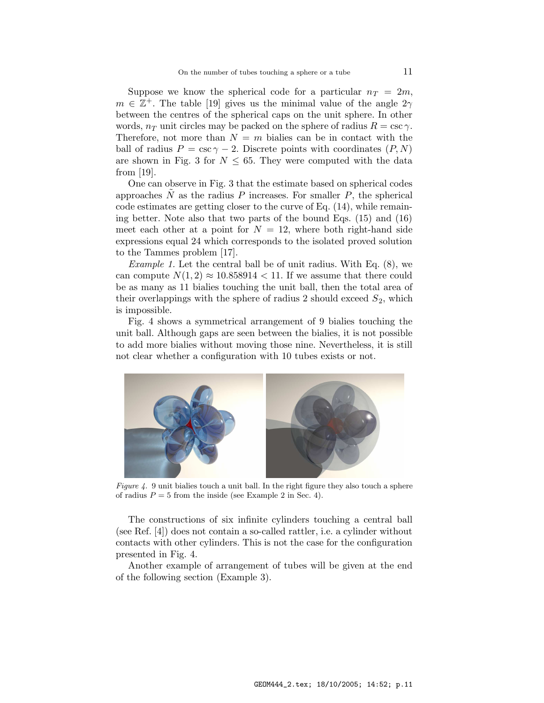Suppose we know the spherical code for a particular  $n_T = 2m$ ,  $m \in \mathbb{Z}^+$ . The table [19] gives us the minimal value of the angle  $2\gamma$ between the centres of the spherical caps on the unit sphere. In other words,  $n<sub>T</sub>$  unit circles may be packed on the sphere of radius  $R = \csc \gamma$ . Therefore, not more than  $N = m$  bialies can be in contact with the ball of radius  $P = \csc \gamma - 2$ . Discrete points with coordinates  $(P, N)$ are shown in Fig. 3 for  $N \leq 65$ . They were computed with the data from [19].

One can observe in Fig. 3 that the estimate based on spherical codes approaches  $\tilde{N}$  as the radius P increases. For smaller P, the spherical code estimates are getting closer to the curve of Eq. (14), while remaining better. Note also that two parts of the bound Eqs. (15) and (16) meet each other at a point for  $N = 12$ , where both right-hand side expressions equal 24 which corresponds to the isolated proved solution to the Tammes problem [17].

Example 1. Let the central ball be of unit radius. With Eq. (8), we can compute  $N(1, 2) \approx 10.858914 < 11$ . If we assume that there could be as many as 11 bialies touching the unit ball, then the total area of their overlappings with the sphere of radius 2 should exceed  $S_2$ , which is impossible.

Fig. 4 shows a symmetrical arrangement of 9 bialies touching the unit ball. Although gaps are seen between the bialies, it is not possible to add more bialies without moving those nine. Nevertheless, it is still not clear whether a configuration with 10 tubes exists or not.



Figure 4. 9 unit bialies touch a unit ball. In the right figure they also touch a sphere of radius  $P = 5$  from the inside (see Example 2 in Sec. 4).

The constructions of six infinite cylinders touching a central ball (see Ref. [4]) does not contain a so-called rattler, i.e. a cylinder without contacts with other cylinders. This is not the case for the configuration presented in Fig. 4.

Another example of arrangement of tubes will be given at the end of the following section (Example 3).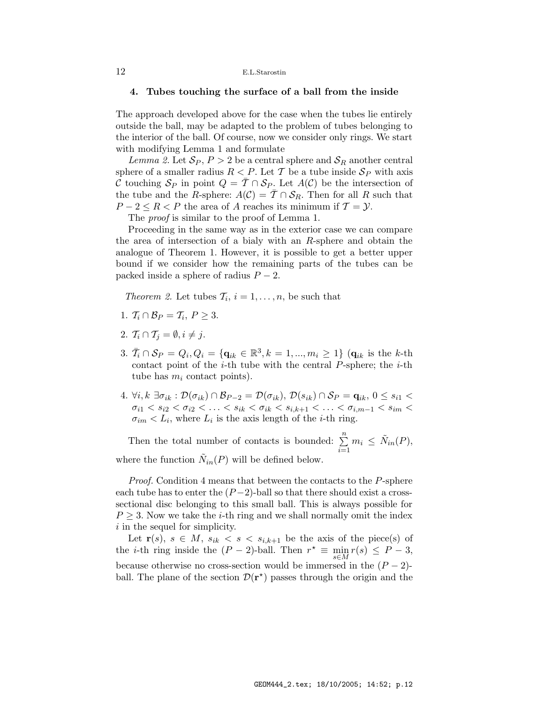#### 4. Tubes touching the surface of a ball from the inside

The approach developed above for the case when the tubes lie entirely outside the ball, may be adapted to the problem of tubes belonging to the interior of the ball. Of course, now we consider only rings. We start with modifying Lemma 1 and formulate

Lemma 2. Let  $S_P$ ,  $P > 2$  be a central sphere and  $S_R$  another central sphere of a smaller radius  $R < P$ . Let T be a tube inside  $S_P$  with axis C touching  $S_P$  in point  $Q = \overline{T} \cap S_P$ . Let  $A(C)$  be the intersection of the tube and the R-sphere:  $A(\mathcal{C}) = \overline{\mathcal{T}} \cap \mathcal{S}_R$ . Then for all R such that  $P-2 \leq R < P$  the area of A reaches its minimum if  $\mathcal{T} = \mathcal{Y}$ .

The *proof* is similar to the proof of Lemma 1.

Proceeding in the same way as in the exterior case we can compare the area of intersection of a bialy with an R-sphere and obtain the analogue of Theorem 1. However, it is possible to get a better upper bound if we consider how the remaining parts of the tubes can be packed inside a sphere of radius  $P-2$ .

Theorem 2. Let tubes  $\mathcal{T}_i$ ,  $i = 1, \ldots, n$ , be such that

- 1.  $\mathcal{T}_i \cap \mathcal{B}_P = \mathcal{T}_i, P \geq 3.$
- 2.  $T_i \cap T_j = \emptyset, i \neq j$ .
- 3.  $\bar{T}_i \cap \mathcal{S}_P = Q_i, Q_i = \{ \mathbf{q}_{ik} \in \mathbb{R}^3, k = 1, ..., m_i \ge 1 \}$  ( $\mathbf{q}_{ik}$  is the k-th contact point of the  $i$ -th tube with the central  $P$ -sphere; the  $i$ -th tube has  $m_i$  contact points).
- 4.  $\forall i, k \exists \sigma_{ik} : \mathcal{D}(\sigma_{ik}) \cap \mathcal{B}_{P-2} = \mathcal{D}(\sigma_{ik}), \mathcal{D}(s_{ik}) \cap \mathcal{S}_{P} = \mathbf{q}_{ik}, 0 \leq s_{i1} <$  $\sigma_{i1} < s_{i2} < \sigma_{i2} < \ldots < s_{ik} < \sigma_{ik} < s_{i,k+1} < \ldots < \sigma_{i,m-1} < s_{im} <$  $\sigma_{im} < L_i$ , where  $L_i$  is the axis length of the *i*-th ring.

Then the total number of contacts is bounded:  $\sum_{n=1}^{\infty}$  $\sum_{i=1}^{n} m_i \leq \tilde{N}_{in}(P),$ where the function  $\tilde{N}_{in}(P)$  will be defined below.

Proof. Condition 4 means that between the contacts to the P-sphere each tube has to enter the  $(P-2)$ -ball so that there should exist a crosssectional disc belonging to this small ball. This is always possible for  $P \geq 3$ . Now we take the *i*-th ring and we shall normally omit the index i in the sequel for simplicity.

Let  $\mathbf{r}(s), s \in M$ ,  $s_{ik} < s < s_{i,k+1}$  be the axis of the piece(s) of the *i*-th ring inside the  $(P - 2)$ -ball. Then  $r^* \equiv \min_{s \in M} r(s) \leq P - 3$ , because otherwise no cross-section would be immersed in the  $(P-2)$ ball. The plane of the section  $\mathcal{D}(\mathbf{r}^{\star})$  passes through the origin and the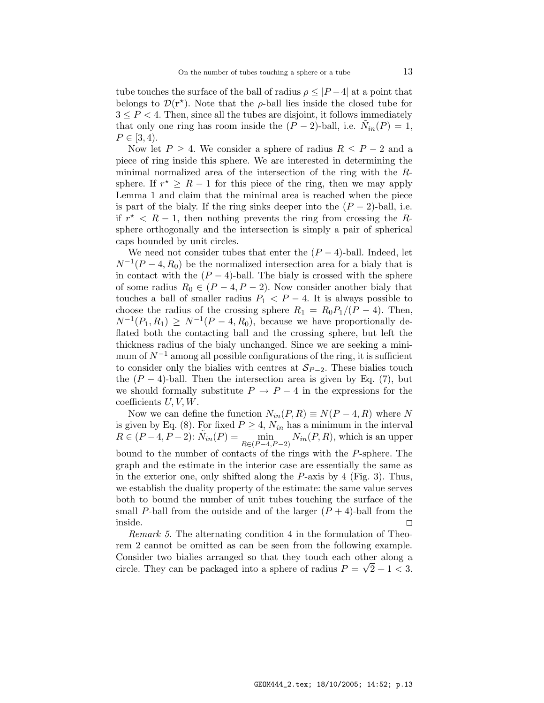tube touches the surface of the ball of radius  $\rho \leq |P-4|$  at a point that belongs to  $\mathcal{D}(\mathbf{r}^*)$ . Note that the  $\rho$ -ball lies inside the closed tube for  $3 \leq P \leq 4$ . Then, since all the tubes are disjoint, it follows immediately that only one ring has room inside the  $(P-2)$ -ball, i.e.  $\tilde{N}_{in}(P) = 1$ ,  $P \in [3, 4).$ 

Now let  $P \geq 4$ . We consider a sphere of radius  $R \leq P-2$  and a piece of ring inside this sphere. We are interested in determining the minimal normalized area of the intersection of the ring with the Rsphere. If  $r^* \geq R - 1$  for this piece of the ring, then we may apply Lemma 1 and claim that the minimal area is reached when the piece is part of the bialy. If the ring sinks deeper into the  $(P-2)$ -ball, i.e. if  $r^* < R - 1$ , then nothing prevents the ring from crossing the Rsphere orthogonally and the intersection is simply a pair of spherical caps bounded by unit circles.

We need not consider tubes that enter the  $(P-4)$ -ball. Indeed, let  $N^{-1}(P-4, R_0)$  be the normalized intersection area for a bialy that is in contact with the  $(P - 4)$ -ball. The bialy is crossed with the sphere of some radius  $R_0 \in (P-4, P-2)$ . Now consider another bialy that touches a ball of smaller radius  $P_1 < P - 4$ . It is always possible to choose the radius of the crossing sphere  $R_1 = R_0 P_1/(P - 4)$ . Then,  $N^{-1}(P_1, R_1) \geq N^{-1}(P-4, R_0)$ , because we have proportionally deflated both the contacting ball and the crossing sphere, but left the thickness radius of the bialy unchanged. Since we are seeking a minimum of  $N^{-1}$  among all possible configurations of the ring, it is sufficient to consider only the bialies with centres at  $S_{P-2}$ . These bialies touch the  $(P-4)$ -ball. Then the intersection area is given by Eq. (7), but we should formally substitute  $P \to P - 4$  in the expressions for the coefficients  $U, V, W$ .

Now we can define the function  $N_{in}(P, R) \equiv N(P-4, R)$  where N is given by Eq. (8). For fixed  $P \geq 4$ ,  $N_{in}$  has a minimum in the interval  $R \in (P-4, P-2): \tilde{N}_{in}(P) = \min_{R \in (P-4)}$  $R \in (P-4, P-2)$  $N_{in}(P, R)$ , which is an upper bound to the number of contacts of the rings with the P-sphere. The graph and the estimate in the interior case are essentially the same as in the exterior one, only shifted along the P-axis by 4 (Fig. 3). Thus, we establish the duality property of the estimate: the same value serves both to bound the number of unit tubes touching the surface of the small P-ball from the outside and of the larger  $(P + 4)$ -ball from the  $\Box$ inside.  $\Box$ 

Remark 5. The alternating condition 4 in the formulation of Theorem 2 cannot be omitted as can be seen from the following example. Consider two bialies arranged so that they touch each other along a circle. They can be packaged into a sphere of radius  $P = \sqrt{2} + 1 < 3$ .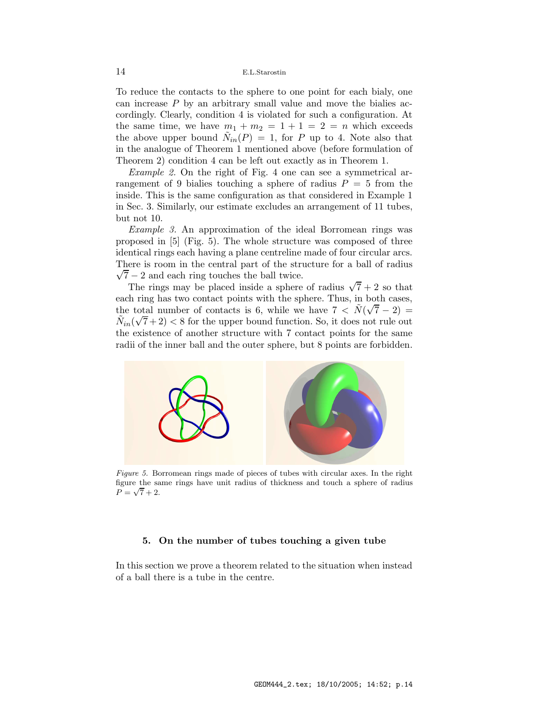To reduce the contacts to the sphere to one point for each bialy, one can increase  $P$  by an arbitrary small value and move the bialies accordingly. Clearly, condition 4 is violated for such a configuration. At the same time, we have  $m_1 + m_2 = 1 + 1 = 2 = n$  which exceeds the above upper bound  $\tilde{N}_{in}(P) = 1$ , for P up to 4. Note also that in the analogue of Theorem 1 mentioned above (before formulation of Theorem 2) condition 4 can be left out exactly as in Theorem 1.

Example 2. On the right of Fig. 4 one can see a symmetrical arrangement of 9 bialies touching a sphere of radius  $P = 5$  from the inside. This is the same configuration as that considered in Example 1 in Sec. 3. Similarly, our estimate excludes an arrangement of 11 tubes, but not 10.

Example 3. An approximation of the ideal Borromean rings was proposed in [5] (Fig. 5). The whole structure was composed of three identical rings each having a plane centreline made of four circular arcs.  $\sqrt{7} - 2$  and each ring touches the ball twice. There is room in the central part of the structure for a ball of radius

The rings may be placed inside a sphere of radius  $\sqrt{7} + 2$  so that each ring has two contact points with the sphere. Thus, in both cases, the total number of contacts is 6, while we have  $7 < \tilde{N}(\sqrt{7}-2) =$  $N_{in}(\sqrt{7}+2)$  < 8 for the upper bound function. So, it does not rule out the existence of another structure with 7 contact points for the same radii of the inner ball and the outer sphere, but 8 points are forbidden.



Figure 5. Borromean rings made of pieces of tubes with circular axes. In the right figure the same rings have unit radius of thickness and touch a sphere of radius  $P = \sqrt{7} + 2.$ 

### 5. On the number of tubes touching a given tube

In this section we prove a theorem related to the situation when instead of a ball there is a tube in the centre.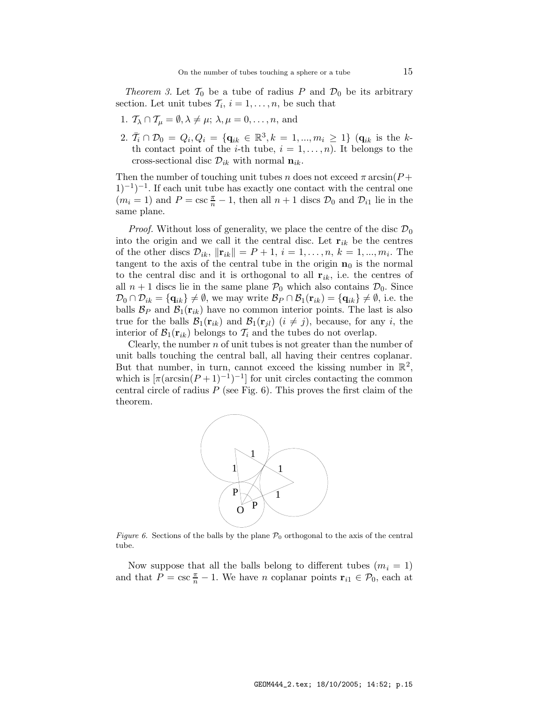Theorem 3. Let  $\mathcal{T}_0$  be a tube of radius P and  $\mathcal{D}_0$  be its arbitrary section. Let unit tubes  $\mathcal{T}_i$ ,  $i = 1, \ldots, n$ , be such that

- 1.  $\mathcal{T}_{\lambda} \cap \mathcal{T}_{\mu} = \emptyset, \lambda \neq \mu; \lambda, \mu = 0, \ldots, n$ , and
- 2.  $\bar{T}_i \cap \mathcal{D}_0 = Q_i, Q_i = \{ \mathbf{q}_{ik} \in \mathbb{R}^3, k = 1, ..., m_i \geq 1 \}$  ( $\mathbf{q}_{ik}$  is the kth contact point of the *i*-th tube,  $i = 1, \ldots, n$ ). It belongs to the cross-sectional disc  $\mathcal{D}_{ik}$  with normal  $\mathbf{n}_{ik}$ .

Then the number of touching unit tubes n does not exceed  $\pi \arcsin(P +$  $(1)^{-1}$ . If each unit tube has exactly one contact with the central one  $(m_i = 1)$  and  $P = \csc \frac{\pi}{n} - 1$ , then all  $n + 1$  discs  $\mathcal{D}_0$  and  $\mathcal{D}_{i1}$  lie in the same plane.

*Proof.* Without loss of generality, we place the centre of the disc  $\mathcal{D}_0$ into the origin and we call it the central disc. Let  $\mathbf{r}_{ik}$  be the centres of the other discs  $\mathcal{D}_{ik}$ ,  $\|\mathbf{r}_{ik}\| = P + 1$ ,  $i = 1, ..., n$ ,  $k = 1, ..., m_i$ . The tangent to the axis of the central tube in the origin  $n_0$  is the normal to the central disc and it is orthogonal to all  $\mathbf{r}_{ik}$ , i.e. the centres of all  $n + 1$  discs lie in the same plane  $P_0$  which also contains  $D_0$ . Since  $\mathcal{D}_0 \cap \mathcal{D}_{ik} = {\mathbf{q}_{ik}} \neq \emptyset$ , we may write  $\mathcal{B}_P \cap \mathcal{B}_1(\mathbf{r}_{ik}) = {\mathbf{q}_{ik}} \neq \emptyset$ , i.e. the balls  $\mathcal{B}_P$  and  $\mathcal{B}_1(\mathbf{r}_{ik})$  have no common interior points. The last is also true for the balls  $\mathcal{B}_1(\mathbf{r}_{ik})$  and  $\mathcal{B}_1(\mathbf{r}_{jl})$   $(i \neq j)$ , because, for any i, the interior of  $\mathcal{B}_1(\mathbf{r}_{ik})$  belongs to  $\mathcal{T}_i$  and the tubes do not overlap.

Clearly, the number  $n$  of unit tubes is not greater than the number of unit balls touching the central ball, all having their centres coplanar. But that number, in turn, cannot exceed the kissing number in  $\mathbb{R}^2$ , which is  $\left[\pi(\arcsin(P+1)^{-1})^{-1}\right]$  for unit circles contacting the common central circle of radius  $P$  (see Fig. 6). This proves the first claim of the theorem.



Figure 6. Sections of the balls by the plane  $\mathcal{P}_0$  orthogonal to the axis of the central tube.

Now suppose that all the balls belong to different tubes  $(m<sub>i</sub> = 1)$ and that  $P = \csc \frac{\pi}{n} - 1$ . We have *n* coplanar points  $\mathbf{r}_{i1} \in \mathcal{P}_0$ , each at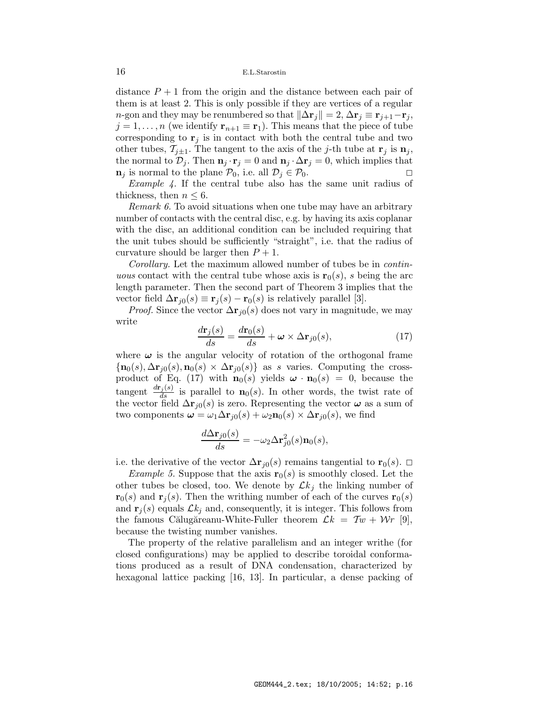distance  $P + 1$  from the origin and the distance between each pair of them is at least 2. This is only possible if they are vertices of a regular n-gon and they may be renumbered so that  $\|\Delta \mathbf{r}_j\| = 2, \Delta \mathbf{r}_j \equiv \mathbf{r}_{j+1}-\mathbf{r}_j$ ,  $j = 1, \ldots, n$  (we identify  $\mathbf{r}_{n+1} \equiv \mathbf{r}_1$ ). This means that the piece of tube corresponding to  $\mathbf{r}_i$  is in contact with both the central tube and two other tubes,  $\mathcal{T}_{j\pm 1}$ . The tangent to the axis of the j-th tube at  $\mathbf{r}_j$  is  $\mathbf{n}_j$ , the normal to  $\mathcal{D}_j$ . Then  $\mathbf{n}_j \cdot \mathbf{r}_j = 0$  and  $\mathbf{n}_j \cdot \Delta \mathbf{r}_j = 0$ , which implies that  $\mathbf{n}_j$  is normal to the plane  $\mathcal{P}_0$ , i.e. all  $\mathcal{D}_j \in \mathcal{P}_0$ .

Example 4. If the central tube also has the same unit radius of thickness, then  $n \leq 6$ .

Remark 6. To avoid situations when one tube may have an arbitrary number of contacts with the central disc, e.g. by having its axis coplanar with the disc, an additional condition can be included requiring that the unit tubes should be sufficiently "straight", i.e. that the radius of curvature should be larger then  $P + 1$ .

Corollary. Let the maximum allowed number of tubes be in continuous contact with the central tube whose axis is  $\mathbf{r}_0(s)$ , s being the arc length parameter. Then the second part of Theorem 3 implies that the vector field  $\Delta \mathbf{r}_{j0}(s) \equiv \mathbf{r}_{j}(s) - \mathbf{r}_{0}(s)$  is relatively parallel [3].

*Proof.* Since the vector  $\Delta r_{i0}(s)$  does not vary in magnitude, we may write

$$
\frac{d\mathbf{r}_j(s)}{ds} = \frac{d\mathbf{r}_0(s)}{ds} + \boldsymbol{\omega} \times \Delta \mathbf{r}_{j0}(s),\tag{17}
$$

where  $\omega$  is the angular velocity of rotation of the orthogonal frame  $\{n_0(s), \Delta \mathbf{r}_{i0}(s), n_0(s) \times \Delta \mathbf{r}_{i0}(s)\}\$ as s varies. Computing the crossproduct of Eq. (17) with  $\mathbf{n}_0(s)$  yields  $\boldsymbol{\omega} \cdot \mathbf{n}_0(s) = 0$ , because the tangent  $\frac{dr_j(s)}{ds}$  is parallel to  $\mathbf{n}_0(s)$ . In other words, the twist rate of the vector field  $\Delta \mathbf{r}_{j0}(s)$  is zero. Representing the vector  $\boldsymbol{\omega}$  as a sum of two components  $\boldsymbol{\omega} = \omega_1 \Delta \mathbf{r}_{i0}(s) + \omega_2 \mathbf{n}_0(s) \times \Delta \mathbf{r}_{i0}(s)$ , we find

$$
\frac{d\Delta \mathbf{r}_{j0}(s)}{ds} = -\omega_2 \Delta \mathbf{r}_{j0}^2(s)\mathbf{n}_0(s),
$$

i.e. the derivative of the vector  $\Delta \mathbf{r}_{i0}(s)$  remains tangential to  $\mathbf{r}_{0}(s)$ .  $\Box$ 

*Example 5.* Suppose that the axis  $\mathbf{r}_0(s)$  is smoothly closed. Let the other tubes be closed, too. We denote by  $\mathcal{L}k_j$  the linking number of  $\mathbf{r}_0(s)$  and  $\mathbf{r}_j(s)$ . Then the writhing number of each of the curves  $\mathbf{r}_0(s)$ and  $\mathbf{r}_i(s)$  equals  $\mathcal{L}k_i$  and, consequently, it is integer. This follows from the famous Călugăreanu-White-Fuller theorem  $\mathcal{L}k = \mathcal{T}w + \mathcal{W}r$  [9], because the twisting number vanishes.

The property of the relative parallelism and an integer writhe (for closed configurations) may be applied to describe toroidal conformations produced as a result of DNA condensation, characterized by hexagonal lattice packing [16, 13]. In particular, a dense packing of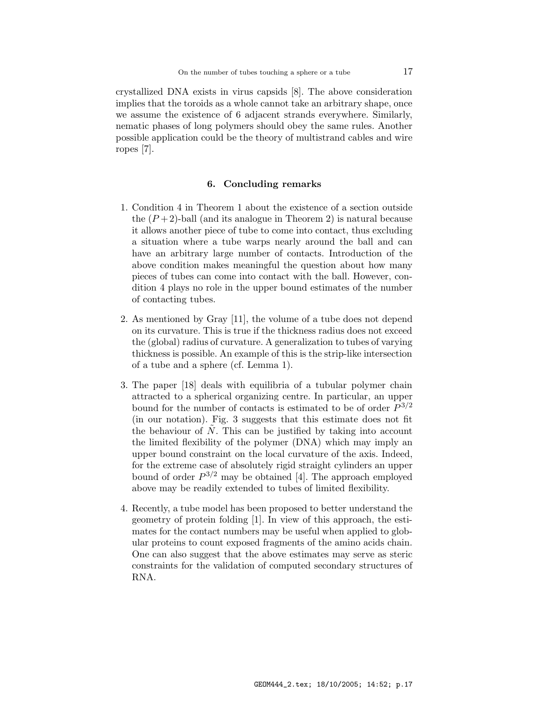crystallized DNA exists in virus capsids [8]. The above consideration implies that the toroids as a whole cannot take an arbitrary shape, once we assume the existence of 6 adjacent strands everywhere. Similarly, nematic phases of long polymers should obey the same rules. Another possible application could be the theory of multistrand cables and wire ropes [7].

### 6. Concluding remarks

- 1. Condition 4 in Theorem 1 about the existence of a section outside the  $(P+2)$ -ball (and its analogue in Theorem 2) is natural because it allows another piece of tube to come into contact, thus excluding a situation where a tube warps nearly around the ball and can have an arbitrary large number of contacts. Introduction of the above condition makes meaningful the question about how many pieces of tubes can come into contact with the ball. However, condition 4 plays no role in the upper bound estimates of the number of contacting tubes.
- 2. As mentioned by Gray [11], the volume of a tube does not depend on its curvature. This is true if the thickness radius does not exceed the (global) radius of curvature. A generalization to tubes of varying thickness is possible. An example of this is the strip-like intersection of a tube and a sphere (cf. Lemma 1).
- 3. The paper [18] deals with equilibria of a tubular polymer chain attracted to a spherical organizing centre. In particular, an upper bound for the number of contacts is estimated to be of order  $P^{3/2}$ (in our notation). Fig. 3 suggests that this estimate does not fit the behaviour of  $\overline{N}$ . This can be justified by taking into account the limited flexibility of the polymer (DNA) which may imply an upper bound constraint on the local curvature of the axis. Indeed, for the extreme case of absolutely rigid straight cylinders an upper bound of order  $P^{3/2}$  may be obtained [4]. The approach employed above may be readily extended to tubes of limited flexibility.
- 4. Recently, a tube model has been proposed to better understand the geometry of protein folding [1]. In view of this approach, the estimates for the contact numbers may be useful when applied to globular proteins to count exposed fragments of the amino acids chain. One can also suggest that the above estimates may serve as steric constraints for the validation of computed secondary structures of RNA.